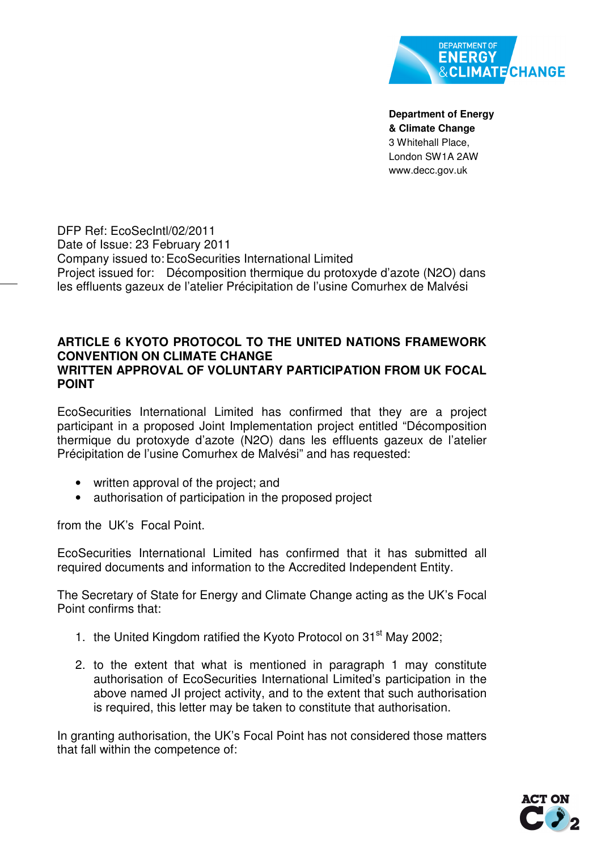

**Department of Energy & Climate Change**  3 Whitehall Place, London SW1A 2AW www.decc.gov.uk

DFP Ref: EcoSecIntl/02/2011 Date of Issue: 23 February 2011 Company issued to: EcoSecurities International Limited Project issued for: Décomposition thermique du protoxyde d'azote (N2O) dans les effluents gazeux de l'atelier Précipitation de l'usine Comurhex de Malvési

## **ARTICLE 6 KYOTO PROTOCOL TO THE UNITED NATIONS FRAMEWORK CONVENTION ON CLIMATE CHANGE WRITTEN APPROVAL OF VOLUNTARY PARTICIPATION FROM UK FOCAL POINT**

EcoSecurities International Limited has confirmed that they are a project participant in a proposed Joint Implementation project entitled "Décomposition thermique du protoxyde d'azote (N2O) dans les effluents gazeux de l'atelier Précipitation de l'usine Comurhex de Malvési" and has requested:

- written approval of the project; and
- authorisation of participation in the proposed project

from the UK's Focal Point.

EcoSecurities International Limited has confirmed that it has submitted all required documents and information to the Accredited Independent Entity.

The Secretary of State for Energy and Climate Change acting as the UK's Focal Point confirms that:

- 1. the United Kingdom ratified the Kyoto Protocol on  $31<sup>st</sup>$  May 2002;
- 2. to the extent that what is mentioned in paragraph 1 may constitute authorisation of EcoSecurities International Limited's participation in the above named JI project activity, and to the extent that such authorisation is required, this letter may be taken to constitute that authorisation.

In granting authorisation, the UK's Focal Point has not considered those matters that fall within the competence of: